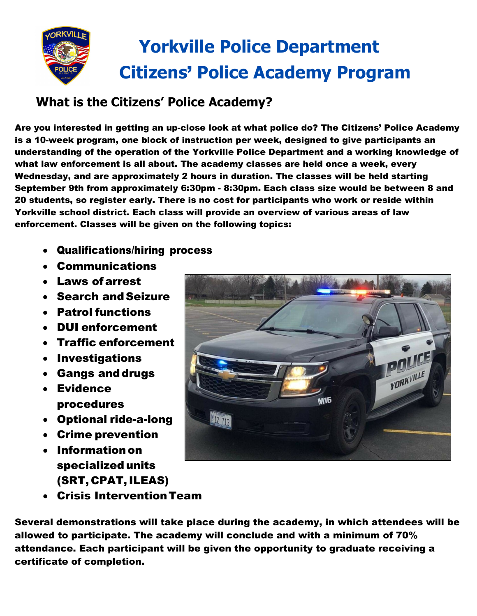

# **What is the Citizens' Police Academy?**

Are you interested in getting an up-close look at what police do? The Citizens' Police Academy is a 10-week program, one block of instruction per week, designed to give participants an understanding of the operation of the Yorkville Police Department and a working knowledge of what law enforcement is all about. The academy classes are held once a week, every Wednesday, and are approximately 2 hours in duration. The classes will be held starting September 9th from approximately 6:30pm - 8:30pm. Each class size would be between 8 and 20 students, so register early. There is no cost for participants who work or reside within Yorkville school district. Each class will provide an overview of various areas of law enforcement. Classes will be given on the following topics:

- Qualifications/hiring process
- Communications
- Laws ofarrest
- Search andSeizure
- Patrol functions
- DUI enforcement
- Traffic enforcement
- Investigations
- Gangs anddrugs
- Evidence procedures
- Optional ride-a-long
- Crime prevention
- Informationon specializedunits (SRT, CPAT,ILEAS)



Several demonstrations will take place during the academy, in which attendees will be allowed to participate. The academy will conclude and with a minimum of 70% attendance. Each participant will be given the opportunity to graduate receiving a certificate of completion.